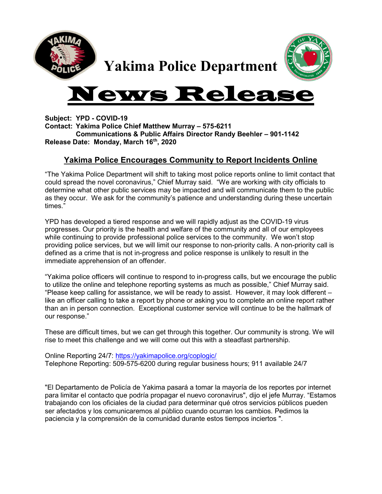

Yakima Police Department

## ws Re

Subject: YPD - COVID-19 Contact: Yakima Police Chief Matthew Murray – 575-6211 Communications & Public Affairs Director Randy Beehler – 901-1142 Release Date: Monday, March 16th, 2020

## Yakima Police Encourages Community to Report Incidents Online

"The Yakima Police Department will shift to taking most police reports online to limit contact that could spread the novel coronavirus," Chief Murray said. "We are working with city officials to determine what other public services may be impacted and will communicate them to the public as they occur. We ask for the community's patience and understanding during these uncertain times."

YPD has developed a tiered response and we will rapidly adjust as the COVID-19 virus progresses. Our priority is the health and welfare of the community and all of our employees while continuing to provide professional police services to the community. We won't stop providing police services, but we will limit our response to non-priority calls. A non-priority call is defined as a crime that is not in-progress and police response is unlikely to result in the immediate apprehension of an offender.

"Yakima police officers will continue to respond to in-progress calls, but we encourage the public to utilize the online and telephone reporting systems as much as possible," Chief Murray said. "Please keep calling for assistance, we will be ready to assist. However, it may look different – like an officer calling to take a report by phone or asking you to complete an online report rather than an in person connection. Exceptional customer service will continue to be the hallmark of our response."

These are difficult times, but we can get through this together. Our community is strong. We will rise to meet this challenge and we will come out this with a steadfast partnership.

Online Reporting 24/7: https://yakimapolice.org/coplogic/ Telephone Reporting: 509-575-6200 during regular business hours; 911 available 24/7

"El Departamento de Policía de Yakima pasará a tomar la mayoría de los reportes por internet para limitar el contacto que podría propagar el nuevo coronavirus", dijo el jefe Murray. "Estamos trabajando con los oficiales de la ciudad para determinar qué otros servicios públicos pueden ser afectados y los comunicaremos al público cuando ocurran los cambios. Pedimos la paciencia y la comprensión de la comunidad durante estos tiempos inciertos ".